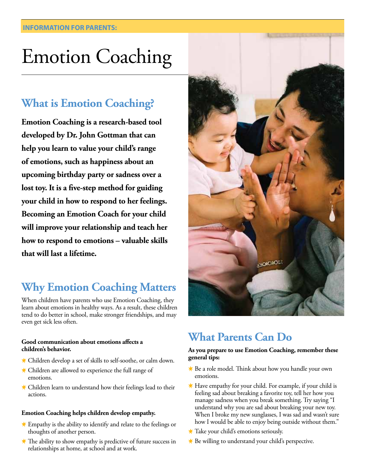# Emotion Coaching

### **What is Emotion Coaching?**

**Emotion Coaching is a research-based tool developed by Dr. John Gottman that can help you learn to value your child's range of emotions, such as happiness about an upcoming birthday party or sadness over a lost toy. It is a five-step method for guiding your child in how to respond to her feelings. Becoming an Emotion Coach for your child will improve your relationship and teach her how to respond to emotions – valuable skills that will last a lifetime.** 

## **Why Emotion Coaching Matters**

When children have parents who use Emotion Coaching, they learn about emotions in healthy ways. As a result, these children tend to do better in school, make stronger friendships, and may even get sick less often.

### **Good communication about emotions affects a children's behavior.**

- Children develop a set of skills to self-soothe, or calm down.
- **★ Children are allowed to experience the full range of** emotions.
- **★ Children learn to understand how their feelings lead to their** actions.

### **Emotion Coaching helps children develop empathy.**

- Empathy is the ability to identify and relate to the feelings or thoughts of another person.
- $*$  The ability to show empathy is predictive of future success in relationships at home, at school and at work.



### **What Parents Can Do**

### **As you prepare to use Emotion Coaching, remember these general tips:**

- **★ Be a role model. Think about how you handle your own** emotions.
- $*$  Have empathy for your child. For example, if your child is feeling sad about breaking a favorite toy, tell her how you manage sadness when you break something. Try saying "I understand why you are sad about breaking your new toy. When I broke my new sunglasses, I was sad and wasn't sure how I would be able to enjoy being outside without them."
- **★ Take your child's emotions seriously.**
- $\ast$  Be willing to understand your child's perspective.